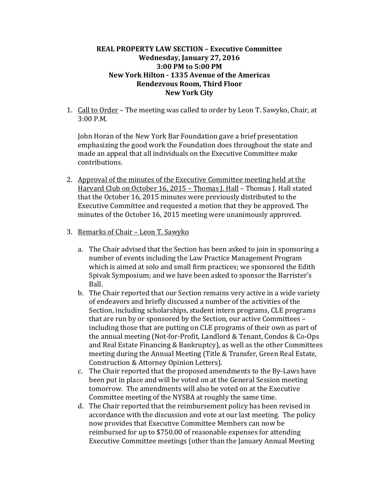## **REAL PROPERTY LAW SECTION – Executive Committee Wednesday, January 27, 2016 3:00 PM to 5:00 PM New York Hilton - 1335 Avenue of the Americas Rendezvous Room, Third Floor New York City**

1. Call to Order – The meeting was called to order by Leon T. Sawyko, Chair, at 3:00 P.M.

John Horan of the New York Bar Foundation gave a brief presentation emphasizing the good work the Foundation does throughout the state and made an appeal that all individuals on the Executive Committee make contributions.

- 2. Approval of the minutes of the Executive Committee meeting held at the Harvard Club on October 16, 2015 – Thomas J. Hall – Thomas J. Hall stated that the October 16, 2015 minutes were previously distributed to the Executive Committee and requested a motion that they be approved. The minutes of the October 16, 2015 meeting were unanimously approved.
- 3. Remarks of Chair Leon T. Sawyko
	- a. The Chair advised that the Section has been asked to join in sponsoring a number of events including the Law Practice Management Program which is aimed at solo and small firm practices; we sponsored the Edith Spivak Symposium; and we have been asked to sponsor the Barrister's Ball.
	- b. The Chair reported that our Section remains very active in a wide variety of endeavors and briefly discussed a number of the activities of the Section, including scholarships, student intern programs, CLE programs that are run by or sponsored by the Section, our active Committees – including those that are putting on CLE programs of their own as part of the annual meeting (Not-for-Profit, Landlord & Tenant, Condos & Co-Ops and Real Estate Financing & Bankruptcy), as well as the other Committees meeting during the Annual Meeting (Title & Transfer, Green Real Estate, Construction & Attorney Opinion Letters).
	- c. The Chair reported that the proposed amendments to the By-Laws have been put in place and will be voted on at the General Session meeting tomorrow. The amendments will also be voted on at the Executive Committee meeting of the NYSBA at roughly the same time.
	- d. The Chair reported that the reimbursement policy has been revised in accordance with the discussion and vote at our last meeting. The policy now provides that Executive Committee Members can now be reimbursed for up to \$750.00 of reasonable expenses for attending Executive Committee meetings (other than the January Annual Meeting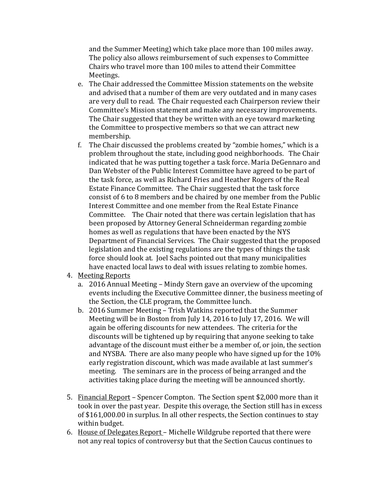and the Summer Meeting) which take place more than 100 miles away. The policy also allows reimbursement of such expenses to Committee Chairs who travel more than 100 miles to attend their Committee Meetings.

- e. The Chair addressed the Committee Mission statements on the website and advised that a number of them are very outdated and in many cases are very dull to read. The Chair requested each Chairperson review their Committee's Mission statement and make any necessary improvements. The Chair suggested that they be written with an eye toward marketing the Committee to prospective members so that we can attract new membership.
- f. The Chair discussed the problems created by "zombie homes," which is a problem throughout the state, including good neighborhoods. The Chair indicated that he was putting together a task force. Maria DeGennaro and Dan Webster of the Public Interest Committee have agreed to be part of the task force, as well as Richard Fries and Heather Rogers of the Real Estate Finance Committee. The Chair suggested that the task force consist of 6 to 8 members and be chaired by one member from the Public Interest Committee and one member from the Real Estate Finance Committee. The Chair noted that there was certain legislation that has been proposed by Attorney General Schneiderman regarding zombie homes as well as regulations that have been enacted by the NYS Department of Financial Services. The Chair suggested that the proposed legislation and the existing regulations are the types of things the task force should look at. Joel Sachs pointed out that many municipalities have enacted local laws to deal with issues relating to zombie homes.
- 4. Meeting Reports
	- a. 2016 Annual Meeting Mindy Stern gave an overview of the upcoming events including the Executive Committee dinner, the business meeting of the Section, the CLE program, the Committee lunch.
	- b. 2016 Summer Meeting Trish Watkins reported that the Summer Meeting will be in Boston from July 14, 2016 to July 17, 2016. We will again be offering discounts for new attendees. The criteria for the discounts will be tightened up by requiring that anyone seeking to take advantage of the discount must either be a member of, or join, the section and NYSBA. There are also many people who have signed up for the 10% early registration discount, which was made available at last summer's meeting. The seminars are in the process of being arranged and the activities taking place during the meeting will be announced shortly.
- 5. Financial Report Spencer Compton. The Section spent \$2,000 more than it took in over the past year. Despite this overage, the Section still has in excess of \$161,000.00 in surplus. In all other respects, the Section continues to stay within budget.
- 6. House of Delegates Report Michelle Wildgrube reported that there were not any real topics of controversy but that the Section Caucus continues to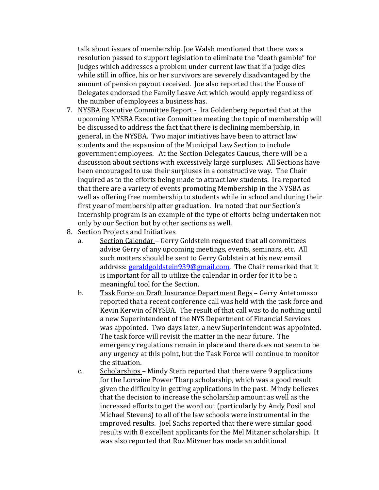talk about issues of membership. Joe Walsh mentioned that there was a resolution passed to support legislation to eliminate the "death gamble" for judges which addresses a problem under current law that if a judge dies while still in office, his or her survivors are severely disadvantaged by the amount of pension payout received. Joe also reported that the House of Delegates endorsed the Family Leave Act which would apply regardless of the number of employees a business has.

- 7. NYSBA Executive Committee Report Ira Goldenberg reported that at the upcoming NYSBA Executive Committee meeting the topic of membership will be discussed to address the fact that there is declining membership, in general, in the NYSBA. Two major initiatives have been to attract law students and the expansion of the Municipal Law Section to include government employees. At the Section Delegates Caucus, there will be a discussion about sections with excessively large surpluses. All Sections have been encouraged to use their surpluses in a constructive way. The Chair inquired as to the efforts being made to attract law students. Ira reported that there are a variety of events promoting Membership in the NYSBA as well as offering free membership to students while in school and during their first year of membership after graduation. Ira noted that our Section's internship program is an example of the type of efforts being undertaken not only by our Section but by other sections as well.
- 8. <u>Section Projects and Initiatives</u><br>a. Section Calendar Gerry
	- Section Calendar Gerry Goldstein requested that all committees advise Gerry of any upcoming meetings, events, seminars, etc. All such matters should be sent to Gerry Goldstein at his new email address: [geraldgoldstein939@gmail.com.](mailto:geraldgoldstein939@gmail.com) The Chair remarked that it is important for all to utilize the calendar in order for it to be a meaningful tool for the Section.
	- b. Task Force on Draft Insurance Department Regs Gerry Antetomaso reported that a recent conference call was held with the task force and Kevin Kerwin of NYSBA. The result of that call was to do nothing until a new Superintendent of the NYS Department of Financial Services was appointed. Two days later, a new Superintendent was appointed. The task force will revisit the matter in the near future. The emergency regulations remain in place and there does not seem to be any urgency at this point, but the Task Force will continue to monitor the situation.
	- c. Scholarships Mindy Stern reported that there were 9 applications for the Lorraine Power Tharp scholarship, which was a good result given the difficulty in getting applications in the past. Mindy believes that the decision to increase the scholarship amount as well as the increased efforts to get the word out (particularly by Andy Posil and Michael Stevens) to all of the law schools were instrumental in the improved results. Joel Sachs reported that there were similar good results with 8 excellent applicants for the Mel Mitzner scholarship. It was also reported that Roz Mitzner has made an additional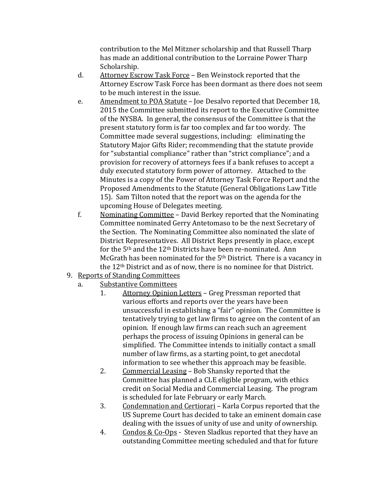contribution to the Mel Mitzner scholarship and that Russell Tharp has made an additional contribution to the Lorraine Power Tharp Scholarship.

- d. Attorney Escrow Task Force Ben Weinstock reported that the Attorney Escrow Task Force has been dormant as there does not seem to be much interest in the issue.
- e. Amendment to POA Statute Joe Desalvo reported that December 18, 2015 the Committee submitted its report to the Executive Committee of the NYSBA. In general, the consensus of the Committee is that the present statutory form is far too complex and far too wordy. The Committee made several suggestions, including: eliminating the Statutory Major Gifts Rider; recommending that the statute provide for "substantial compliance" rather than "strict compliance"; and a provision for recovery of attorneys fees if a bank refuses to accept a duly executed statutory form power of attorney. Attached to the Minutes is a copy of the Power of Attorney Task Force Report and the Proposed Amendments to the Statute (General Obligations Law Title 15). Sam Tilton noted that the report was on the agenda for the upcoming House of Delegates meeting.
- f. Nominating Committee David Berkey reported that the Nominating Committee nominated Gerry Antetomaso to be the next Secretary of the Section. The Nominating Committee also nominated the slate of District Representatives. All District Reps presently in place, except for the 5th and the 12th Districts have been re-nominated. Ann McGrath has been nominated for the 5th District. There is a vacancy in the 12th District and as of now, there is no nominee for that District.
- 9. Reports of Standing Committees
	- a. Substantive Committees
		- Attorney Opinion Letters Greg Pressman reported that various efforts and reports over the years have been unsuccessful in establishing a "fair" opinion. The Committee is tentatively trying to get law firms to agree on the content of an opinion. If enough law firms can reach such an agreement perhaps the process of issuing Opinions in general can be simplified. The Committee intends to initially contact a small number of law firms, as a starting point, to get anecdotal information to see whether this approach may be feasible.
		- 2. Commercial Leasing Bob Shansky reported that the Committee has planned a CLE eligible program, with ethics credit on Social Media and Commercial Leasing. The program is scheduled for late February or early March.
		- 3. Condemnation and Certiorari Karla Corpus reported that the US Supreme Court has decided to take an eminent domain case dealing with the issues of unity of use and unity of ownership.
		- 4. Condos & Co-Ops Steven Sladkus reported that they have an outstanding Committee meeting scheduled and that for future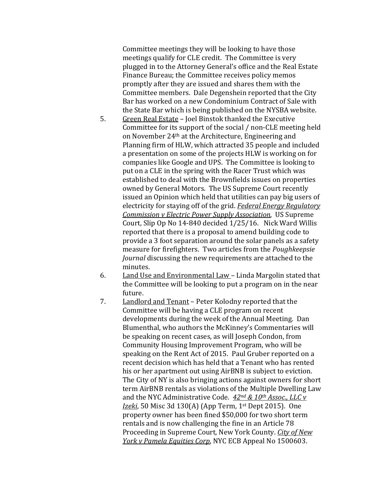Committee meetings they will be looking to have those meetings qualify for CLE credit. The Committee is very plugged in to the Attorney General's office and the Real Estate Finance Bureau; the Committee receives policy memos promptly after they are issued and shares them with the Committee members. Dale Degenshein reported that the City Bar has worked on a new Condominium Contract of Sale with the State Bar which is being published on the NYSBA website.

- 5. Green Real Estate Joel Binstok thanked the Executive Committee for its support of the social / non-CLE meeting held on November 24th at the Architecture, Engineering and Planning firm of HLW, which attracted 35 people and included a presentation on some of the projects HLW is working on for companies like Google and UPS. The Committee is looking to put on a CLE in the spring with the Racer Trust which was established to deal with the Brownfields issues on properties owned by General Motors. The US Supreme Court recently issued an Opinion which held that utilities can pay big users of electricity for staying off of the grid. *Federal Energy Regulatory Commission v Electric Power Supply Association*, US Supreme Court, Slip Op No 14-840 decided 1/25/16. Nick Ward Willis reported that there is a proposal to amend building code to provide a 3 foot separation around the solar panels as a safety measure for firefighters. Two articles from the *Poughkeepsie Journal* discussing the new requirements are attached to the minutes.
- 6. Land Use and Environmental Law Linda Margolin stated that the Committee will be looking to put a program on in the near future.
- 7. Landlord and Tenant Peter Kolodny reported that the Committee will be having a CLE program on recent developments during the week of the Annual Meeting. Dan Blumenthal, who authors the McKinney's Commentaries will be speaking on recent cases, as will Joseph Condon, from Community Housing Improvement Program, who will be speaking on the Rent Act of 2015. Paul Gruber reported on a recent decision which has held that a Tenant who has rented his or her apartment out using AirBNB is subject to eviction. The City of NY is also bringing actions against owners for short term AirBNB rentals as violations of the Multiple Dwelling Law and the NYC Administrative Code. *42nd & 10th Assoc., LLC v Izeki*, 50 Misc 3d 130(A) (App Term, 1st Dept 2015). One property owner has been fined \$50,000 for two short term rentals and is now challenging the fine in an Article 78 Proceeding in Supreme Court, New York County. *City of New York v Pamela Equities Corp*, NYC ECB Appeal No 1500603.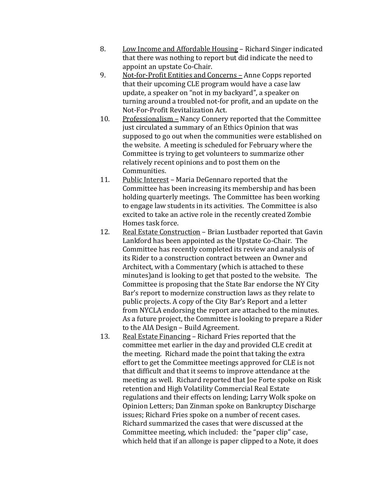- 8. Low Income and Affordable Housing Richard Singer indicated that there was nothing to report but did indicate the need to appoint an upstate Co-Chair.
- 9. Not-for-Profit Entities and Concerns Anne Copps reported that their upcoming CLE program would have a case law update, a speaker on "not in my backyard", a speaker on turning around a troubled not-for profit, and an update on the Not-For-Profit Revitalization Act.
- 10. Professionalism Nancy Connery reported that the Committee just circulated a summary of an Ethics Opinion that was supposed to go out when the communities were established on the website. A meeting is scheduled for February where the Committee is trying to get volunteers to summarize other relatively recent opinions and to post them on the Communities.
- 11. Public Interest Maria DeGennaro reported that the Committee has been increasing its membership and has been holding quarterly meetings. The Committee has been working to engage law students in its activities. The Committee is also excited to take an active role in the recently created Zombie Homes task force.
- 12. Real Estate Construction Brian Lustbader reported that Gavin Lankford has been appointed as the Upstate Co-Chair. The Committee has recently completed its review and analysis of its Rider to a construction contract between an Owner and Architect, with a Commentary (which is attached to these minutes)and is looking to get that posted to the website. The Committee is proposing that the State Bar endorse the NY City Bar's report to modernize construction laws as they relate to public projects. A copy of the City Bar's Report and a letter from NYCLA endorsing the report are attached to the minutes. As a future project, the Committee is looking to prepare a Rider to the AIA Design – Build Agreement.
- 13. Real Estate Financing Richard Fries reported that the committee met earlier in the day and provided CLE credit at the meeting. Richard made the point that taking the extra effort to get the Committee meetings approved for CLE is not that difficult and that it seems to improve attendance at the meeting as well. Richard reported that Joe Forte spoke on Risk retention and High Volatility Commercial Real Estate regulations and their effects on lending; Larry Wolk spoke on Opinion Letters; Dan Zinman spoke on Bankruptcy Discharge issues; Richard Fries spoke on a number of recent cases. Richard summarized the cases that were discussed at the Committee meeting, which included: the "paper clip" case, which held that if an allonge is paper clipped to a Note, it does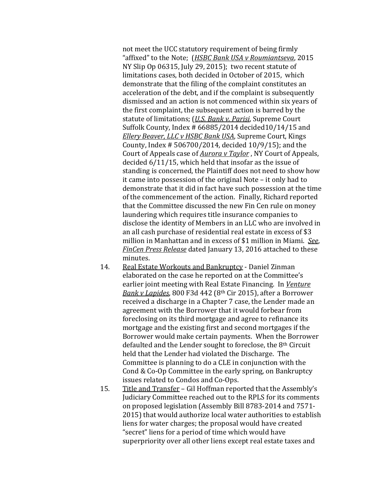not meet the UCC statutory requirement of being firmly "affixed" to the Note; (*HSBC Bank USA v Roumiantseva*, 2015 NY Slip Op 06315, July 29, 2015); two recent statute of limitations cases, both decided in October of 2015, which demonstrate that the filing of the complaint constitutes an acceleration of the debt, and if the complaint is subsequently dismissed and an action is not commenced within six years of the first complaint, the subsequent action is barred by the statute of limitations; (*U.S. Bank v. Parisi*, Supreme Court Suffolk County, Index # 66885/2014 decided10/14/15 and *Ellery Beaver, LLC v HSBC Bank USA*, Supreme Court, Kings County, Index # 506700/2014, decided 10/9/15); and the Court of Appeals case of *Aurora v Taylor* , NY Court of Appeals, decided 6/11/15, which held that insofar as the issue of standing is concerned, the Plaintiff does not need to show how it came into possession of the original Note – it only had to demonstrate that it did in fact have such possession at the time of the commencement of the action. Finally, Richard reported that the Committee discussed the new Fin Cen rule on money laundering which requires title insurance companies to disclose the identity of Members in an LLC who are involved in an all cash purchase of residential real estate in excess of \$3 million in Manhattan and in excess of \$1 million in Miami. *See*, *FinCen Press Release* dated January 13, 2016 attached to these minutes.

- 14. Real Estate Workouts and Bankruptcy Daniel Zinman elaborated on the case he reported on at the Committee's earlier joint meeting with Real Estate Financing. In *Venture Bank v Lapides*, 800 F3d 442 (8th Cir 2015), after a Borrower received a discharge in a Chapter 7 case, the Lender made an agreement with the Borrower that it would forbear from foreclosing on its third mortgage and agree to refinance its mortgage and the existing first and second mortgages if the Borrower would make certain payments. When the Borrower defaulted and the Lender sought to foreclose, the 8th Circuit held that the Lender had violated the Discharge. The Committee is planning to do a CLE in conjunction with the Cond & Co-Op Committee in the early spring, on Bankruptcy issues related to Condos and Co-Ops.
- 15. Title and Transfer Gil Hoffman reported that the Assembly's Judiciary Committee reached out to the RPLS for its comments on proposed legislation (Assembly Bill 8783-2014 and 7571- 2015) that would authorize local water authorities to establish liens for water charges; the proposal would have created "secret" liens for a period of time which would have superpriority over all other liens except real estate taxes and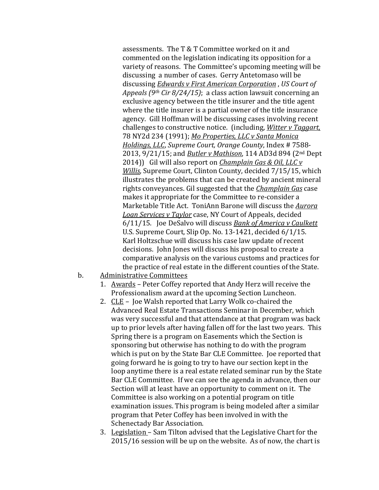assessments. The T & T Committee worked on it and commented on the legislation indicating its opposition for a variety of reasons. The Committee's upcoming meeting will be discussing a number of cases. Gerry Antetomaso will be discussing *Edwards v First American Corporation* , *US Court of Appeals (9th Cir 8/24/15)*; a class action lawsuit concerning an exclusive agency between the title insurer and the title agent where the title insurer is a partial owner of the title insurance agency. Gill Hoffman will be discussing cases involving recent challenges to constructive notice. (including, *Witter v Taggart,* 78 NY2d 234 (1991); *Mo Properties, LLC v Santa Monica Holdings, LLC*, *Supreme Court, Orange County*, Index # 7588- 2013, 9/21/15; and *Butler v Mathison*, 114 AD3d 894 (2nd Dept 2014)) Gil will also report on *Champlain Gas & Oil, LLC v Willis*, Supreme Court, Clinton County, decided 7/15/15, which illustrates the problems that can be created by ancient mineral rights conveyances. Gil suggested that the *Champlain Gas* case makes it appropriate for the Committee to re-consider a Marketable Title Act. ToniAnn Barone will discuss the *Aurora Loan Services v Taylor* case, NY Court of Appeals, decided 6/11/15. Joe DeSalvo will discuss *Bank of America v Caulkett* U.S. Supreme Court, Slip Op. No. 13-1421, decided 6/1/15. Karl Holtzschue will discuss his case law update of recent decisions. John Jones will discuss his proposal to create a comparative analysis on the various customs and practices for the practice of real estate in the different counties of the State.

- b. Administrative Committees
	- 1. Awards Peter Coffey reported that Andy Herz will receive the Professionalism award at the upcoming Section Luncheon.
	- 2. CLE Joe Walsh reported that Larry Wolk co-chaired the Advanced Real Estate Transactions Seminar in December, which was very successful and that attendance at that program was back up to prior levels after having fallen off for the last two years. This Spring there is a program on Easements which the Section is sponsoring but otherwise has nothing to do with the program which is put on by the State Bar CLE Committee. Joe reported that going forward he is going to try to have our section kept in the loop anytime there is a real estate related seminar run by the State Bar CLE Committee. If we can see the agenda in advance, then our Section will at least have an opportunity to comment on it. The Committee is also working on a potential program on title examination issues. This program is being modeled after a similar program that Peter Coffey has been involved in with the Schenectady Bar Association.
	- 3. Legislation Sam Tilton advised that the Legislative Chart for the 2015/16 session will be up on the website. As of now, the chart is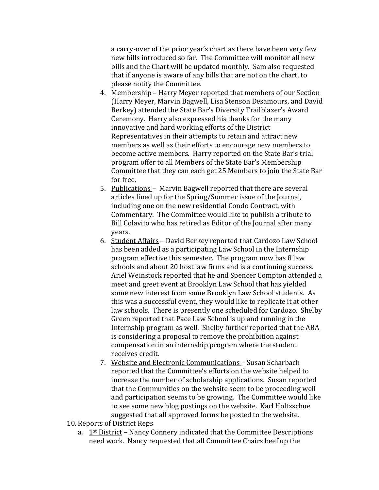a carry-over of the prior year's chart as there have been very few new bills introduced so far. The Committee will monitor all new bills and the Chart will be updated monthly. Sam also requested that if anyone is aware of any bills that are not on the chart, to please notify the Committee.

- 4. Membership Harry Meyer reported that members of our Section (Harry Meyer, Marvin Bagwell, Lisa Stenson Desamours, and David Berkey) attended the State Bar's Diversity Trailblazer's Award Ceremony. Harry also expressed his thanks for the many innovative and hard working efforts of the District Representatives in their attempts to retain and attract new members as well as their efforts to encourage new members to become active members. Harry reported on the State Bar's trial program offer to all Members of the State Bar's Membership Committee that they can each get 25 Members to join the State Bar for free.
- 5. Publications Marvin Bagwell reported that there are several articles lined up for the Spring/Summer issue of the Journal, including one on the new residential Condo Contract, with Commentary. The Committee would like to publish a tribute to Bill Colavito who has retired as Editor of the Journal after many years.
- 6. Student Affairs David Berkey reported that Cardozo Law School has been added as a participating Law School in the Internship program effective this semester. The program now has 8 law schools and about 20 host law firms and is a continuing success. Ariel Weinstock reported that he and Spencer Compton attended a meet and greet event at Brooklyn Law School that has yielded some new interest from some Brooklyn Law School students. As this was a successful event, they would like to replicate it at other law schools. There is presently one scheduled for Cardozo. Shelby Green reported that Pace Law School is up and running in the Internship program as well. Shelby further reported that the ABA is considering a proposal to remove the prohibition against compensation in an internship program where the student receives credit.
- 7. Website and Electronic Communications Susan Scharbach reported that the Committee's efforts on the website helped to increase the number of scholarship applications. Susan reported that the Communities on the website seem to be proceeding well and participation seems to be growing. The Committee would like to see some new blog postings on the website. Karl Holtzschue suggested that all approved forms be posted to the website.
- 10. Reports of District Reps
	- a.  $1<sup>st</sup> District Nancy Connery indicated that the Committee Descriptions$ need work. Nancy requested that all Committee Chairs beef up the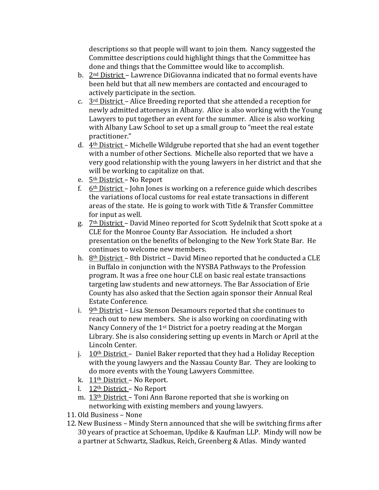descriptions so that people will want to join them. Nancy suggested the Committee descriptions could highlight things that the Committee has done and things that the Committee would like to accomplish.

- b. 2nd District Lawrence DiGiovanna indicated that no formal events have been held but that all new members are contacted and encouraged to actively participate in the section.
- c.  $3<sup>rd</sup>$  District Alice Breeding reported that she attended a reception for newly admitted attorneys in Albany. Alice is also working with the Young Lawyers to put together an event for the summer. Alice is also working with Albany Law School to set up a small group to "meet the real estate practitioner."
- d.  $4<sup>th</sup>$  District Michelle Wildgrube reported that she had an event together with a number of other Sections. Michelle also reported that we have a very good relationship with the young lawyers in her district and that she will be working to capitalize on that.
- e. 5th District No Report
- f.  $6<sup>th</sup>$  District John Jones is working on a reference guide which describes the variations of local customs for real estate transactions in different areas of the state. He is going to work with Title & Transfer Committee for input as well.
- g. 7<sup>th</sup> District David Mineo reported for Scott Sydelnik that Scott spoke at a CLE for the Monroe County Bar Association. He included a short presentation on the benefits of belonging to the New York State Bar. He continues to welcome new members.
- h. 8th District 8th District David Mineo reported that he conducted a CLE in Buffalo in conjunction with the NYSBA Pathways to the Profession program. It was a free one hour CLE on basic real estate transactions targeting law students and new attorneys. The Bar Association of Erie County has also asked that the Section again sponsor their Annual Real Estate Conference.
- i.  $9<sup>th</sup>$  District Lisa Stenson Desamours reported that she continues to reach out to new members. She is also working on coordinating with Nancy Connery of the 1<sup>st</sup> District for a poetry reading at the Morgan Library. She is also considering setting up events in March or April at the Lincoln Center.
- j.  $10<sup>th</sup> District Daniel Baker reported that they had a Hollday Reception$ with the young lawyers and the Nassau County Bar. They are looking to do more events with the Young Lawyers Committee.
- k. 11th District No Report.
- l. 12th District No Report
- m. 13<sup>th</sup> District Toni Ann Barone reported that she is working on networking with existing members and young lawyers.
- 11. Old Business None
- 12. New Business Mindy Stern announced that she will be switching firms after 30 years of practice at Schoeman, Updike & Kaufman LLP. Mindy will now be a partner at Schwartz, Sladkus, Reich, Greenberg & Atlas. Mindy wanted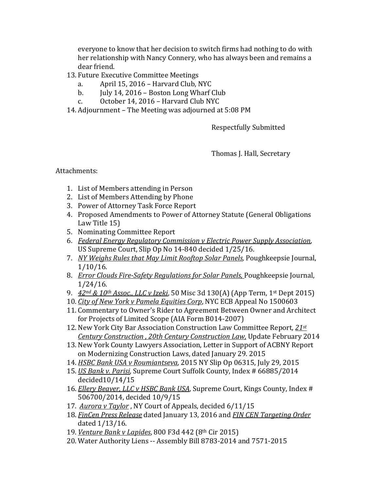everyone to know that her decision to switch firms had nothing to do with her relationship with Nancy Connery, who has always been and remains a dear friend.

- 13. Future Executive Committee Meetings
	- a. April 15, 2016 Harvard Club, NYC
	- b. July 14, 2016 Boston Long Wharf Club<br>c. October 14, 2016 Harvard Club NYC
	- October 14, 2016 Harvard Club NYC
- 14. Adjournment The Meeting was adjourned at 5:08 PM

Respectfully Submitted

Thomas J. Hall, Secretary

Attachments:

- 1. List of Members attending in Person
- 2. List of Members Attending by Phone
- 3. Power of Attorney Task Force Report
- 4. Proposed Amendments to Power of Attorney Statute (General Obligations Law Title 15)
- 5. Nominating Committee Report
- 6. *Federal Energy Regulatory Commission v Electric Power Supply Association*, US Supreme Court, Slip Op No 14-840 decided 1/25/16.
- 7. *NY Weighs Rules that May Limit Rooftop Solar Panels,* Poughkeepsie Journal, 1/10/16.
- 8. *Error Clouds Fire-Safety Regulations for Solar Panels,* Poughkeepsie Journal, 1/24/16.
- 9. *42nd & 10th Assoc., LLC v Izeki*, 50 Misc 3d 130(A) (App Term, 1st Dept 2015)
- 10. *City of New York v Pamela Equities Corp*, NYC ECB Appeal No 1500603
- 11. Commentary to Owner's Rider to Agreement Between Owner and Architect for Projects of Limited Scope (AIA Form B014-2007)
- 12. New York City Bar Association Construction Law Committee Report, *21st Century Construction , 20th Century Construction Law,* Update February 2014
- 13. New York County Lawyers Association, Letter in Support of ACBNY Report on Modernizing Construction Laws, dated January 29. 2015
- 14. *HSBC Bank USA v Roumiantseva*, 2015 NY Slip Op 06315, July 29, 2015
- 15. *US Bank v. Parisi*, Supreme Court Suffolk County, Index # 66885/2014 decided10/14/15
- 16. *Ellery Beaver, LLC v HSBC Bank USA*, Supreme Court, Kings County, Index # 506700/2014, decided 10/9/15
- 17. *Aurora v Taylor* , NY Court of Appeals, decided 6/11/15
- 18. *FinCen Press Release* dated January 13, 2016 and *FIN CEN Targeting Order* dated 1/13/16.
- 19. *Venture Bank v Lapides*, 800 F3d 442 (8th Cir 2015)
- 20. Water Authority Liens -- Assembly Bill 8783-2014 and 7571-2015